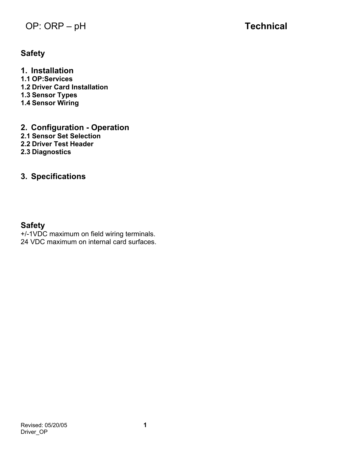## **OP: ORP – pH <b>Technical**

## **Safety**

**1. Installation 1.1 OP:Services 1.2 Driver Card Installation 1.3 Sensor Types 1.4 Sensor Wiring** 

**2. Configuration - Operation 2.1 Sensor Set Selection 2.2 Driver Test Header** 

**2.3 Diagnostics** 

## **3. Specifications**

## **Safety**

+/-1VDC maximum on field wiring terminals. 24 VDC maximum on internal card surfaces.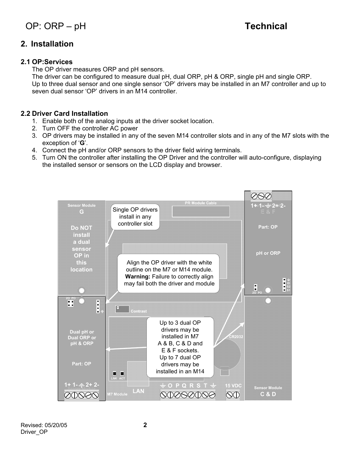## **2. Installation**

### **2.1 OP:Services**

The OP driver measures ORP and pH sensors.

The driver can be configured to measure dual pH, dual ORP, pH & ORP, single pH and single ORP. Up to three dual sensor and one single sensor 'OP' drivers may be installed in an M7 controller and up to seven dual sensor 'OP' drivers in an M14 controller.

## **2.2 Driver Card Installation**

- 1. Enable both of the analog inputs at the driver socket location.
- 2. Turn OFF the controller AC power
- 3. OP drivers may be installed in any of the seven M14 controller slots and in any of the M7 slots with the exception of '**G**'.
- 4. Connect the pH and/or ORP sensors to the driver field wiring terminals.
- 5. Turn ON the controller after installing the OP Driver and the controller will auto-configure, displaying the installed sensor or sensors on the LCD display and browser.

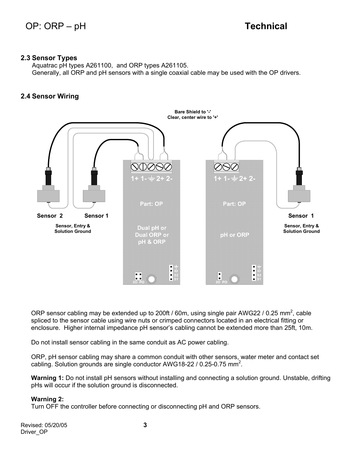#### **2.3 Sensor Types**

Aquatrac pH types A261100, and ORP types A261105. Generally, all ORP and pH sensors with a single coaxial cable may be used with the OP drivers.

## **2.4 Sensor Wiring**



ORP sensor cabling may be extended up to 200ft / 60m, using single pair AWG22 / 0.25 mm<sup>2</sup>, cable spliced to the sensor cable using wire nuts or crimped connectors located in an electrical fitting or enclosure. Higher internal impedance pH sensor's cabling cannot be extended more than 25ft, 10m.

Do not install sensor cabling in the same conduit as AC power cabling.

ORP, pH sensor cabling may share a common conduit with other sensors, water meter and contact set cabling. Solution grounds are single conductor AWG18-22 / 0.25-0.75 mm<sup>2</sup>.

**Warning 1:** Do not install pH sensors without installing and connecting a solution ground. Unstable, drifting pHs will occur if the solution ground is disconnected.

#### **Warning 2:**

Turn OFF the controller before connecting or disconnecting pH and ORP sensors.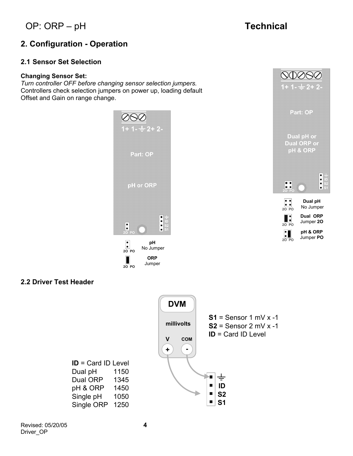*OP***: ORP – pH <b>Technical** 

**1+ 1- 2+ 2-**

 $\begin{array}{c} \n \text{OOOO} \n \text{O} \n \end{array}$ 

## **2. Configuration - Operation**

## **2.1 Sensor Set Selection**

#### **Changing Sensor Set:**

*Turn controller OFF before changing sensor selection jumpers.*  Controllers check selection jumpers on power up, loading default Offset and Gain on range change.



### **2.2 Driver Test Header**

| <b>DVM</b>                         |                                                                                                              |
|------------------------------------|--------------------------------------------------------------------------------------------------------------|
| millivolts<br>V<br><b>COM</b><br>٠ | $S1 =$ Sensor 1 mV x -1<br>$S2 =$ Sensor 2 mV x -1<br>$ID = Card ID Level$<br>٠<br>ID<br>S <sub>2</sub><br>о |
|                                    | S1                                                                                                           |

**ID** = Card ID Level Dual pH 1150 Dual ORP 1345 pH & ORP 1450 Single pH 1050 Single ORP 1250

**2O PO**

Jumper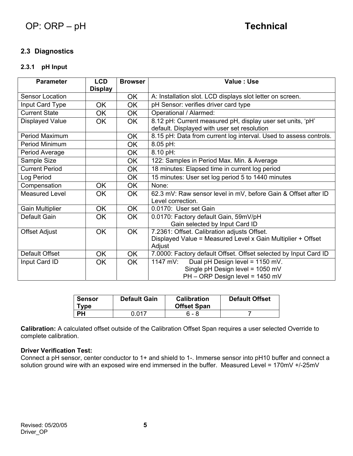## **2.3 Diagnostics**

## **2.3.1 pH Input**

| <b>Parameter</b>       | <b>LCD</b><br><b>Display</b> | <b>Browser</b> | Value: Use                                                        |  |
|------------------------|------------------------------|----------------|-------------------------------------------------------------------|--|
| <b>Sensor Location</b> |                              | OK.            | A: Installation slot. LCD displays slot letter on screen.         |  |
| Input Card Type        | <b>OK</b>                    | OK             | pH Sensor: verifies driver card type                              |  |
| <b>Current State</b>   | OK                           | OK             | Operational / Alarmed:                                            |  |
| <b>Displayed Value</b> | OK.                          | OK.            | 8.12 pH: Current measured pH, display user set units, 'pH'        |  |
|                        |                              |                | default. Displayed with user set resolution                       |  |
| Period Maximum         |                              | <b>OK</b>      | 8.15 pH: Data from current log interval. Used to assess controls. |  |
| Period Minimum         |                              | OK             | 8.05 pH:                                                          |  |
| Period Average         |                              | <b>OK</b>      | 8.10 pH:                                                          |  |
| Sample Size            |                              | OK.            | 122: Samples in Period Max. Min. & Average                        |  |
| <b>Current Period</b>  |                              | OK.            | 18 minutes: Elapsed time in current log period                    |  |
| Log Period             |                              | OK.            | 15 minutes: User set log period 5 to 1440 minutes                 |  |
| Compensation           | <b>OK</b>                    | OK             | None:                                                             |  |
| <b>Measured Level</b>  | <b>OK</b>                    | OK.            | 62.3 mV: Raw sensor level in mV, before Gain & Offset after ID    |  |
|                        |                              |                | Level correction.                                                 |  |
| <b>Gain Multiplier</b> | <b>OK</b>                    | OK.            | 0.0170: User set Gain                                             |  |
| Default Gain           | <b>OK</b>                    | <b>OK</b>      | 0.0170: Factory default Gain, 59mV/pH                             |  |
|                        |                              |                | Gain selected by Input Card ID                                    |  |
| <b>Offset Adjust</b>   | <b>OK</b>                    | OK.            | 7.2361: Offset. Calibration adjusts Offset.                       |  |
|                        |                              |                | Displayed Value = Measured Level x Gain Multiplier + Offset       |  |
|                        |                              |                | Adjust                                                            |  |
| Default Offset         | OK.                          | <b>OK</b>      | 7.0000: Factory default Offset. Offset selected by Input Card ID  |  |
| Input Card ID          | OK                           | OK             | 1147 mV:<br>Dual pH Design level = 1150 mV.                       |  |
|                        |                              |                | Single pH Design level = 1050 mV                                  |  |
|                        |                              |                | PH - ORP Design level = 1450 mV                                   |  |

| Sensor<br><b>Tvpe</b> | <b>Default Gain</b> | <b>Calibration</b><br><b>Offset Span</b> | <b>Default Offset</b> |
|-----------------------|---------------------|------------------------------------------|-----------------------|
| ÞН                    | N N 17              | 6 - 8                                    |                       |

**Calibration:** A calculated offset outside of the Calibration Offset Span requires a user selected Override to complete calibration.

#### **Driver Verification Test:**

Connect a pH sensor, center conductor to 1+ and shield to 1-. Immerse sensor into pH10 buffer and connect a solution ground wire with an exposed wire end immersed in the buffer. Measured Level = 170mV +/-25mV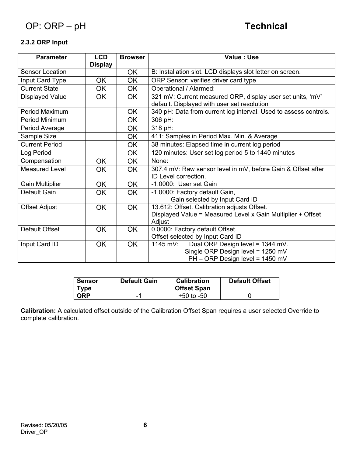## **2.3.2 ORP Input**

| <b>Parameter</b>       | <b>LCD</b><br><b>Display</b> | <b>Browser</b> | Value: Use                                                                                                             |  |
|------------------------|------------------------------|----------------|------------------------------------------------------------------------------------------------------------------------|--|
| <b>Sensor Location</b> |                              | OK             | B: Installation slot. LCD displays slot letter on screen.                                                              |  |
| Input Card Type        | <b>OK</b>                    | <b>OK</b>      | ORP Sensor: verifies driver card type                                                                                  |  |
| <b>Current State</b>   | <b>OK</b>                    | <b>OK</b>      | Operational / Alarmed:                                                                                                 |  |
| <b>Displayed Value</b> | <b>OK</b>                    | <b>OK</b>      | 321 mV: Current measured ORP, display user set units, 'mV'<br>default. Displayed with user set resolution              |  |
| Period Maximum         |                              | <b>OK</b>      | 340 pH: Data from current log interval. Used to assess controls.                                                       |  |
| Period Minimum         |                              | OK.            | 306 pH:                                                                                                                |  |
| Period Average         |                              | OK             | 318 pH:                                                                                                                |  |
| Sample Size            |                              | <b>OK</b>      | 411: Samples in Period Max. Min. & Average                                                                             |  |
| <b>Current Period</b>  |                              | <b>OK</b>      | 38 minutes: Elapsed time in current log period                                                                         |  |
| Log Period             |                              | <b>OK</b>      | 120 minutes: User set log period 5 to 1440 minutes                                                                     |  |
| Compensation           | OK                           | <b>OK</b>      | None:                                                                                                                  |  |
| <b>Measured Level</b>  | <b>OK</b>                    | <b>OK</b>      | 307.4 mV: Raw sensor level in mV, before Gain & Offset after<br>ID Level correction.                                   |  |
| <b>Gain Multiplier</b> | OK                           | <b>OK</b>      | -1.0000: User set Gain                                                                                                 |  |
| Default Gain           | <b>OK</b>                    | <b>OK</b>      | -1.0000: Factory default Gain,<br>Gain selected by Input Card ID                                                       |  |
| <b>Offset Adjust</b>   | <b>OK</b>                    | <b>OK</b>      | 13.612: Offset. Calibration adjusts Offset.<br>Displayed Value = Measured Level x Gain Multiplier + Offset<br>Adjust   |  |
| Default Offset         | <b>OK</b>                    | <b>OK</b>      | 0.0000: Factory default Offset.<br>Offset selected by Input Card ID                                                    |  |
| Input Card ID          | <b>OK</b>                    | <b>OK</b>      | Dual ORP Design level = 1344 mV.<br>1145 mV:<br>Single ORP Design level = 1250 mV<br>$PH - ORP$ Design level = 1450 mV |  |

| Sensor<br>Tvpe | <b>Default Gain</b> | <b>Calibration</b><br><b>Offset Span</b> | <b>Default Offset</b> |
|----------------|---------------------|------------------------------------------|-----------------------|
| ORP            | ٠                   | $+50$ to $-50$                           |                       |

**Calibration:** A calculated offset outside of the Calibration Offset Span requires a user selected Override to complete calibration.